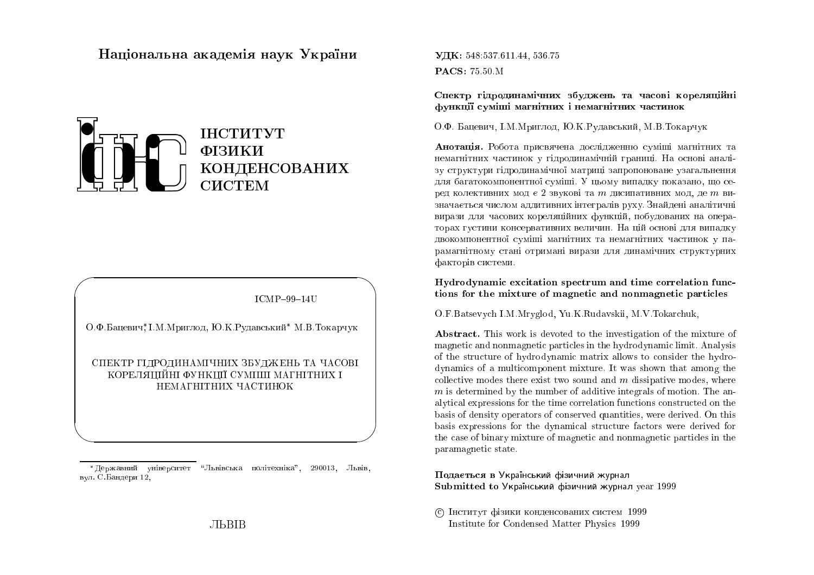## Національна академія наук України



**ICMP-99-14U** 

О.Ф.Бацевич, І.М.Мриглод, Ю.К.Рудавський<sup>\*</sup> М.В.Токарчук

СПЕКТР ГІДРОДИНАМІЧНИХ ЗБУДЖЕНЬ ТА ЧАСОВІ КОРЕЛЯШЙНІ ФУНКШЇ СУМШІІ МАГНІТНИХ І НЕМАГНІТНИХ ЧАСТИНОК

\*Державний університет "Львівська політехніка", 290013, Львів, вул. С.Бандери 12,

Спектр гідродинамічних збуджень та часові кореляційні функції суміші магнітних і немагнітних частинок

О.Ф. Бацевич, І.М. Мриглод, Ю.К. Рудавський, М.В. Токарчук

Анотація. Робота присвячена дослідженню суміші магнітних та немагнітних частинок у гідродинамічній границі. На основі аналізу структури гідродинамічної матриці запропоноване узагальнення для багатокомпонентної суміші. У цьому випадку показано, що серед колективних мод є 2 звукові та  $m$  дисипативних мод, де  $m$  визначається числом аддитивних інтегралів руху. Знайдені аналітичні вирази для часових кореляційних функцій, побудованих на операторах густини консервативних величин. На цій основі для випадку двокомпонентної суміші магнітних та немагнітних частинок у парамагнітному стані отримані вирази для динамічних структурних факторів системи.

Hydrodynamic excitation spectrum and time correlation functions for the mixture of magnetic and nonmagnetic particles

O.F. Batsevych I.M. Mryglod, Yu.K. Rudavskii, M.V. Tokarchuk,

**Abstract.** This work is devoted to the investigation of the mixture of magnetic and nonmagnetic particles in the hydrodynamic limit. Analysis of the structure of hydrodynamic matrix allows to consider the hydrodynamics of a multicomponent mixture. It was shown that among the collective modes there exist two sound and  $m$  dissipative modes, where  $m$  is determined by the number of additive integrals of motion. The analytical expressions for the time correlation functions constructed on the basis of density operators of conserved quantities, were derived. On this basis expressions for the dynamical structure factors were derived for the case of binary mixture of magnetic and nonmagnetic particles in the paramagnetic state.

#### Подається в Український фізичний журнал Submitted to Украінський фізичний журнал year 1999

С Інститут фізики конденсованих систем 1999 Institute for Condensed Matter Physics 1999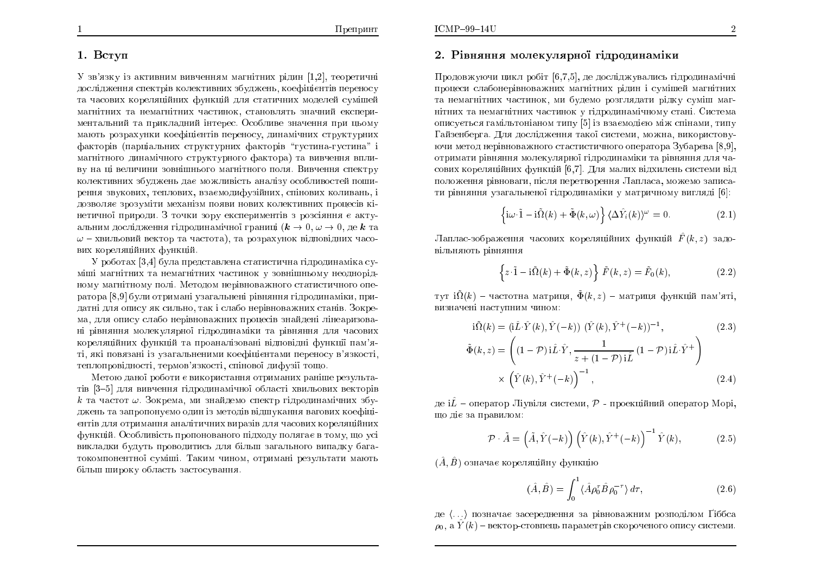#### 1. Вступ

 $V$  зв'язку із активним вивченням магнітних рідин  $[1,2]$ , теоретичні дослідження спектрів колективних збуджень, коефіцієнтів переносу та часових кореляційних функцій для статичних моделей сумішей магнітних та немагнітних частинок, становлять значний експериментальний та прикладний інтерес. Особливе значення при цьому мають розрахунки коефіцієнтів переносу, динамічних структурних факторів (парціальних структурних факторів "густина-густина" і магнітного динамічного структурного фактора) та вивчення впливу на ці величини зовнішнього магнітного поля. Вивчення спектру колективних збуджень дає можливість аналізу особливостей поширення звукових, теплових, взаємодифузійних, спінових коливань, і дозволяє зрозуміти механізм появи нових колективних процесів кінетичної природи. З точки зору експериментів з розсіяння є актуальним дослідження гідродинамічної границі ( $k \to 0, \omega \to 0,$  де  $k$  та $\omega$  – увильовий вектор та послота), та послотаучнок відповідних цасо- $\omega$  – хвильовий вектор та частота), та розрахунок відповідних часових кореляційних функцій.

У роботах [3,4] була представлена статистична гідродинаміка суміші магнітних та немагнітних частинок у зовнішньому неоднорід-<br><mark>.</mark> ному магнітному полі. Методом нерівноважного статистичного оператора [8,9] були отримані узагальнені рівняння гідродинаміки, придатні для опису як сильно, так і слабо нерівноважних станів. Зокрема, для опису слабо нерівноважних процесів знайдені лінеаризова<mark>-</mark> ні рівняння молекулярної гідродинаміки та рівняння для часових<br><mark>.</mark> кореляційних функцій та проаналізовані відповідні функції пам'яті, які повязані із узагальненими коефіцієнтами переносу в'язкості, теплопровідності, термов'язкості, спінової дифузії тощо.

Метою даної роботи є використання отриманих раніше результа-<br><sup>[9</sup>04] тів [3–5] для вивчення гідродинамічної області хвильових векторів<br>.  $k$  та частот  $\omega$ . Зокрема, ми знайдемо спектр гідродинамічних збуджень та запропонуємо один із методів відшукання вагових коефіці<mark>-</mark> єнтів для отримання аналітичних виразів для часових кореляційних<br>. функцій. Особливість пропонованого підходу полягає в тому, що усі викладки будуть проводитись для більш загального випадку бага-<br>——————————————————— токомпонентної суміші. Таким чином, отримані результати мають<br>< бiльш широку область застосування.<br>.

# 2. Рівняння молекулярної гідродинаміки

Продовжуючи цикл робіт  $[6,7,5],$  де досліджувались гідродинамічні процеси слабонерівноважних магнітних рідин і сумішей магнітних та немагнітних частинок, ми будемо розглядати рідку суміш маг-<br>Соборов Івановічно і існовічно большо бородові нітних та немагнітних частинок у гідродинамічному стані. Система описується гамільтоніаном типу [5] із взаємодією між спінами, типу<br>Гайванбавла. Для дослідницию домаї онодами, мощно, динависласць Гайзенберга. Для дослідження такої системи, можна, використовуючи метод нерівноважного стастистичного оператора  $3$ убар $\mathrm{e}$ ва  $[8,9],$ отримати рівняння молекулярної гідродинаміки та рівняння для часових кореляційних функцій [6,7]. Для малих відхилень системи від положення рівноваги, після перетворення Лапласа, можемо записати рівняння узагальненої гідродинаміки у матричному вигляді  $[6]$ :

$$
\left\{ i\omega \cdot \tilde{1} - i\tilde{\Omega}(k) + \tilde{\Phi}(k,\omega) \right\} \langle \Delta \hat{Y}_i(k) \rangle^{\omega} = 0. \tag{2.1}
$$

Лаплас-зображення часових кореляційних функцій  $\hat{F}(k,z)$  задовільняють рів<mark>няння</mark>

$$
\left\{z \cdot \tilde{1} - \mathrm{i}\tilde{\Omega}(k) + \tilde{\Phi}(k, z)\right\} \tilde{F}(k, z) = \tilde{F}_0(k),\tag{2.2}
$$

тут і $\tilde{\Omega}(k)$  – частотна матриця,  $\tilde{\Phi}(k,z)$  – матриця функцій пам'яті, визначені наступним чином:<br>.

$$
\begin{aligned}\n\mathbf{i}\tilde{\Omega}(k) &= (\mathbf{i}\hat{L}\cdot\hat{Y}(k), \hat{Y}(-k)) \ (\hat{Y}(k), \hat{Y}^+(-k))^{-1}, \\
\tilde{\Phi}(k, z) &= \left( (1-\mathcal{P}) \mathbf{i}\hat{L}\cdot\hat{Y}, \frac{1}{z+(1-\mathcal{P}) \mathbf{i}\hat{L}} \ (1-\mathcal{P}) \mathbf{i}\hat{L}\cdot\hat{Y}^+ \right) \\
&\times \left( \hat{Y}(k), \hat{Y}^+(-k) \right)^{-1},\n\end{aligned} \tag{2.4}
$$

де і $\hat{L}$  – оператор Ліувіля системи,  ${\cal P}$  - проекційний оператор Морі, що діє за правилом:<br>.

$$
\mathcal{P} \cdot \tilde{A} = (\tilde{A}, \hat{Y}(-k)) (\hat{Y}(k), \hat{Y}^+(-k))^{-1} \hat{Y}(k), \tag{2.5}
$$

 $(\hat{A},\hat{B})$  означає кореляційну функцію

$$
(\hat{A}, \hat{B}) = \int_0^1 \langle \hat{A} \rho_0^{\tau} \hat{B} \rho_0^{-\tau} \rangle d\tau, \qquad (2.6)
$$

де (...) позначає засереднення за рівноважним розподілом Ґіббса<br>Сидійсь  $\rho_0,$  а  $\hat{Y}(k)$  – вектор-стовпець параметрів скороченого опису системи.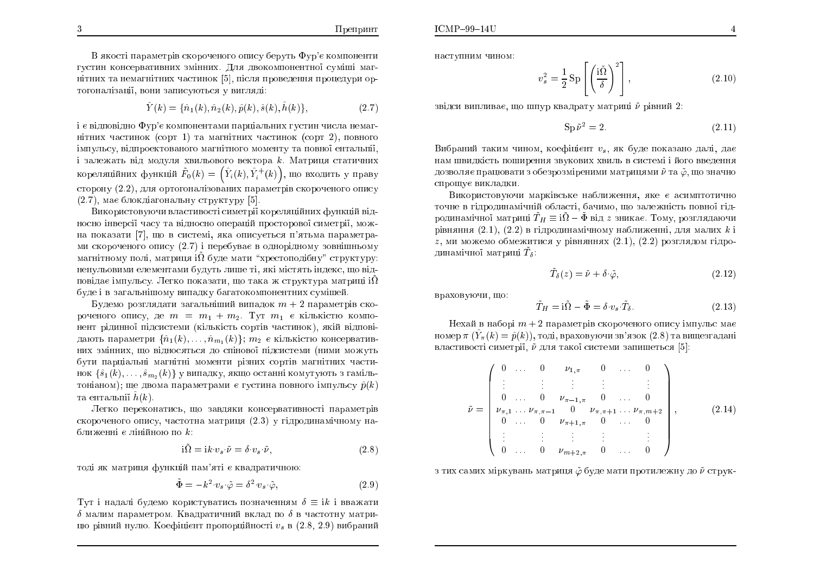В якості параметрів скороченого опису беруть Фур'є компоненти<br>——————————————————— густин консервативних змінних. Для двокомпонентної суміші магнітних та немагнітних частинок [5], після проведення процедури ор-ÔÏÇÏÎÁÌiÚÁi§, ×ÏÎÉ ÚÁÉÓÕÀÔØÓÑ Õ ×ÉÇÌÑÄi:

$$
\hat{Y}(k) = \{\hat{n}_1(k), \hat{n}_2(k), \hat{p}(k), \hat{s}(k), \hat{h}(k)\},\tag{2.7}
$$

i є відповідно Фур'є компонентами парціальних густин числа немагнітних частинок (сорт 1) та магнітних частинок (сорт 2), повного iмпульсу, відпроектованого магнітного моменту та повної ентальпії,<br>. і залежать від модуля хвильового вектора  $k$ . Матриця статичних кореляційних функцій  $\tilde{F}_0(k) = \left(\hat{Y}_i(k), \hat{Y}^+_i(k)\right)$ , що входить у праву сторону  $(2.2)$ , для ортогоналізованих параметрів скороченого опису (2.7), має блокдіагональну структуру [5].

Використовуючи властивості симетрії кореляційних функцій відносно інверсії часу та відносно операцій просторової симетрії, можна показати [7], що в системі, яка описується п'ятьма параметрами скороченого опису (2.7) і перебуває в однорідному зовнішньому магнітному полі, матриця і $\tilde{\Omega}$  буде мати "хрестоподібну" структуру: ненульовими елементами будуть лише ті, які містять індекс, що відповідає імпульсу. Легко показати, що така ж структура матриці іΏ<br>Єслі і остатки і сообобовани обороді і сообороми і сі буде і в загальнішому випадку багатокомпонентних суміше<mark>й</mark>.

Будемо розглядати загальніший випадок  $m+2$  параметрів скороченого опису, де  $m = m_1 + m_2$ . Тут  $m_1$  є кількістю компонент рідинної підсистеми (кількість сортів частинок), якій відповідають параметри  $\{ \hat{n}_1(k), \ldots, \hat{n}_{m_1}(k) \}$ ;  $m_2$  є кількістю консервативних змінних, що відносяться до спінової підсистеми (ними можуть бути парціальні магнітні моменти різних сортів магнітних частинок  $\{\hat{s}_1(k), \ldots, \hat{s}_{m_2} (k)\}$  у випадку, якщо останні комутують з гамільтоніаном); ще двома параметрами є густина повного імпульсу  $\hat{p}(k)$ та ентальпії  $\hat{h}(k)$ .

Легко переконатись, що завдяки консервативності параметрів скороченого опису, частотна матриця (2.3) у гідродинамічному наближенні є лінійною по  $k$ :

$$
i\tilde{\Omega} = i k \cdot v_s \cdot \tilde{\nu} = \delta \cdot v_s \cdot \tilde{\nu}, \qquad (2.8)
$$

тоді як матриця функцій пам'яті є квадратичною:

$$
\tilde{\Phi} = -k^2 \cdot v_s \cdot \tilde{\varphi} = \delta^2 \cdot v_s \cdot \tilde{\varphi},\tag{2.9}
$$

 $\Gamma$ ут і надалі будемо користуватись позначенням  $\delta \equiv i k$  і вважати  $\delta$  малим параметром. Квадратичний вклад по  $\delta$  в частотну матрицю рівний нулю. Коефіцієнт пропорційності  $v_s$  в  $(2.8, 2.9)$  вибраний наступним чином:

$$
v_s^2 = \frac{1}{2} \operatorname{Sp} \left[ \left( \frac{\mathrm{i}\tilde{\Omega}}{\delta} \right)^2 \right], \tag{2.10}
$$

звідси виплива $\epsilon$ , що шпур квадрату матриці  $\tilde{\nu}$  рівний  $2$ :

$$
Sp\,\tilde{\nu}^2 = 2.\tag{2.11}
$$

Вибраний таким чином, коефіцієнт  $v_s$ , як буде показано далі, дає ÎÁÍ Û×ÉÄËiÓÔØ ÏÛÉÒÅÎÎÑ Ú×ÕËÏ×ÉÈ È×ÉÌØ <sup>×</sup> ÓÉÓÔÅÍi <sup>i</sup> ÊÏÇÏ ××ÅÄÅÎÎÑ дозволяє працювати з обезрозміреними матрицями  $\tilde{\nu}$  та  $\tilde{\varphi},$  що значно спрощує викладки.

Використовуючи марківське наближення, яке є асимптотично точне в гідродинамічній області, бачимо, що залежність повної гідродинамічної матриці  $\widetilde{T}_H \equiv \mathrm{i} \tilde{\Omega} - \tilde{\Phi}$  від  $z$  зникає. Тому, розглядаючи рівняння  $(2.1), (2.2)$  в гідродинамічному наближенні, для малих  $k$  і  $z$ , ми можемо обмежитися у рівняннях  $(2.1), (2.2)$  розглядом гідродинамічної матриці  $\tilde{T}_\delta$ :

$$
\tilde{T}_{\delta}(z) = \tilde{\nu} + \delta \cdot \tilde{\varphi},\tag{2.12}
$$

враховуючи, що:

$$
\tilde{T}_H = \mathbf{i}\tilde{\Omega} - \tilde{\Phi} = \delta \cdot v_s \cdot \tilde{T}_\delta. \tag{2.13}
$$

Нехай в наборі  $m+2$  параметрів скороченого опису імпульс має<br>son =  $(\hat{V}, (h) = \hat{v}(h))$  = soni prevenueur pr'enew (2.8) = prumente de vi номер  $\pi$   $(\hat{Y}_{\pi}(k) = \hat{p}(k)),$  тоді, враховуючи зв'язок (2.8) та вищезгадані властивості симетрії,  $\tilde{\nu}$  для такої системи запишеться  $[5]$ :

$$
\tilde{\nu} = \begin{pmatrix}\n0 & \cdots & 0 & \nu_{1,\pi} & 0 & \cdots & 0 \\
\vdots & \vdots & \vdots & \vdots & & \vdots \\
0 & \cdots & 0 & \nu_{\pi-1,\pi} & 0 & \cdots & 0 \\
\nu_{\pi,1} & \cdots & \nu_{\pi,\pi-1} & 0 & \nu_{\pi,\pi+1} & \cdots & \nu_{\pi,m+2} \\
0 & \cdots & 0 & \nu_{\pi+1,\pi} & 0 & \cdots & 0 \\
\vdots & \vdots & \vdots & \vdots & & \vdots \\
0 & \cdots & 0 & \nu_{m+2,\pi} & 0 & \cdots & 0\n\end{pmatrix},
$$
\n(2.14)

з тих самих міркувань матриця  $\tilde{\varphi}$  буде мати протилежну до  $\tilde{\nu}$  струк-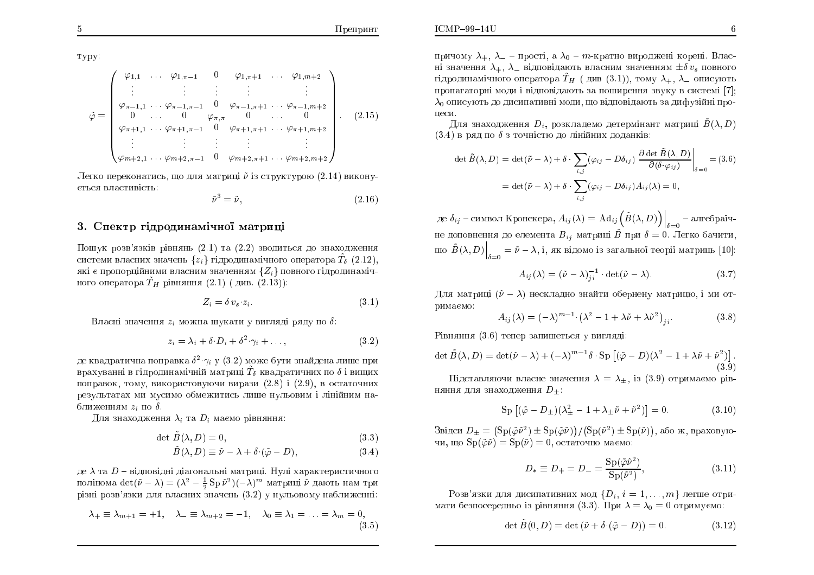туру:

$$
\tilde{\varphi} = \begin{pmatrix}\n\varphi_{1,1} & \cdots & \varphi_{1,\pi-1} & 0 & \varphi_{1,\pi+1} & \cdots & \varphi_{1,m+2} \\
\vdots & \vdots & \vdots & \vdots & & \vdots \\
\varphi_{\pi-1,1} & \cdots & \varphi_{\pi-1,\pi-1} & 0 & \varphi_{\pi-1,\pi+1} & \cdots & \varphi_{\pi-1,m+2} \\
0 & \cdots & 0 & \varphi_{\pi,\pi} & 0 & \cdots & 0 \\
\varphi_{\pi+1,1} & \cdots & \varphi_{\pi+1,\pi-1} & 0 & \varphi_{\pi+1,\pi+1} & \cdots & \varphi_{\pi+1,m+2} \\
\vdots & \vdots & \vdots & \vdots & \vdots \\
\varphi_{m+2,1} & \cdots & \varphi_{m+2,\pi-1} & 0 & \varphi_{m+2,\pi+1} & \cdots & \varphi_{m+2,m+2}\n\end{pmatrix}.
$$
\n(2.15)

Легко переконатись, що для матриці  $\tilde{\nu}$  is структурою (2.14) виконується властивість:

$$
\tilde{\nu}^3 = \tilde{\nu},\tag{2.16}
$$

#### 3. Спектр гідродинамічної матриці

Пошук розв'язків рівнянь  $(2.1)$  та  $(2.2)$  зводиться до знаходження системи власних значень  $\{z_i\}$  гідродинамічного оператора  $T_\delta$  (2.12), які є пропорційними власним значенням  $\{Z_i\}$  повного гідродинамічного оператора  $T_H$  рівняння  $(2.1)$  (див.  $(2.13)$ ):

$$
Z_i = \delta v_s \ z_i. \tag{3.1}
$$

Власні значення  $z_i$  можна шукати у вигляді ряду по  $\delta$ :

$$
z_i = \lambda_i + \delta \ D_i + \delta^2 \ \gamma_i + \dots,\tag{3.2}
$$

де квадратична поправка  $\delta^2 \gamma_i$  у (3.2) може бути знайдена лише при врахуванні в гідродинамічній матриці  $\tilde{T}_{\delta}$  квадратичних по  $\delta$  і вищих поправок, тому, використовуючи вирази  $(2.8)$  i  $(2.9)$ , в остаточних результатах ми мусимо обмежитись лише нульовим і лінійним наближенням  $z_i$  по  $\delta$ .

Для знаходження  $\lambda_i$  та  $D_i$  маємо рівняння:

$$
\det \tilde{B}(\lambda, D) = 0,\tag{3.3}
$$

$$
\ddot{B}(\lambda, D) \equiv \tilde{\nu} - \lambda + \delta \cdot (\tilde{\varphi} - D), \tag{3.4}
$$

де  $\lambda$  та  $D$  – відповідні діагональні матриці. Нулі характеристичного полінома det $(\tilde{\nu} - \lambda) = (\lambda^2 - \frac{1}{2} Sp \tilde{\nu}^2)(-\lambda)^m$  матриці  $\tilde{\nu}$  дають нам три різні розв'язки для власних значень (3.2) у нульовому наближенні:

$$
\lambda_+ \equiv \lambda_{m+1} = +1, \quad \lambda_- \equiv \lambda_{m+2} = -1, \quad \lambda_0 \equiv \lambda_1 = \ldots = \lambda_m = 0,
$$
\n(3.5)

причому  $\lambda_+$ ,  $\lambda_-$  – прості, а  $\lambda_0$  – *т*-кратно вироджені корені. Власні значення  $\lambda_+$ ,  $\lambda_-$  відповідають власним значенням  $\pm \delta v_s$  повного гідродинамічного оператора  $\tilde{T}_H$  (див (3.1)), тому  $\lambda_+$ ,  $\lambda_-$  описують пропагаторні моди і відповідають за поширення звуку в системі [7]:  $\lambda_0$  описують до дисипативні моди, що відповідають за дифузійні пронеси.

Для знаходження  $D_i$ , розкладемо детермінант матриці  $B(\lambda, D)$  $(3.4)$  в ряд по  $\delta$  з точністю до лінійних доданків:

$$
\det \tilde{B}(\lambda, D) = \det(\tilde{\nu} - \lambda) + \delta \cdot \sum_{i,j} (\varphi_{ij} - D\delta_{ij}) \left. \frac{\partial \det \tilde{B}(\lambda, D)}{\partial(\delta \cdot \varphi_{ij})} \right|_{\delta = 0} = (3.6)
$$

$$
= \det(\tilde{\nu} - \lambda) + \delta \cdot \sum_{i,j} (\varphi_{ij} - D\delta_{ij}) A_{ij}(\lambda) = 0,
$$

де  $\delta_{ij}$  – символ Кронекера,  $A_{ij}(\lambda) = \mathrm{Ad}_{ij} \left( \tilde{B}(\lambda, D) \right) \Big|_{\delta=0}$  – алгебраїчне доповнення до елемента $B_{ij}$ матриці $\tilde{B}$ при $\delta=0.$ Легко бачити, що  $\tilde{B}(\lambda, D)\Big|_{s=0} = \tilde{\nu} - \lambda$ , і, як відомо із загальної теорії матриць [10]:

$$
A_{ij}(\lambda) = (\tilde{\nu} - \lambda)_{ji}^{-1} \cdot \det(\tilde{\nu} - \lambda).
$$
 (3.7)

Для матриці  $(\tilde{\nu} - \lambda)$  нескладно знайти обернену матрицю, і ми отримаємо:

$$
A_{ij}(\lambda) = (-\lambda)^{m-1} \left( \lambda^2 - 1 + \lambda \tilde{\nu} + \lambda \tilde{\nu}^2 \right)_{ji}.
$$
 (3.8)

Рівняння (3.6) тепер запишеться у вигляді:

$$
\det \tilde{B}(\lambda, D) = \det(\tilde{\nu} - \lambda) + (-\lambda)^{m-1} \delta \cdot \operatorname{Sp} \left[ (\tilde{\varphi} - D)(\lambda^2 - 1 + \lambda \tilde{\nu} + \tilde{\nu}^2) \right].
$$
\n(3.9)

Підставляючи власне значення  $\lambda = \lambda_+$ , із (3.9) отримаємо рівняння для знаходження  $D_{+}$ :

$$
Sp [(\tilde{\varphi} - D_{\pm}) (\lambda_{\pm}^2 - 1 + \lambda_{\pm} \tilde{\nu} + \tilde{\nu}^2)] = 0.
$$
 (3.10)

Звідси  $D_{+} = (\text{Sp}(\tilde{\varphi}\tilde{\nu}^{2}) \pm \text{Sp}(\tilde{\varphi}\tilde{\nu})) / (\text{Sp}(\tilde{\nu}^{2}) \pm \text{Sp}(\tilde{\nu}))$ , або ж, враховуючи, що  $\text{Sp}(\tilde{\varphi}\tilde{\nu}) = \text{Sp}(\tilde{\nu}) = 0$ , остаточно маємо:

$$
D_* \equiv D_+ = D_- = \frac{\text{Sp}(\tilde{\varphi}\tilde{\nu}^2)}{\text{Sp}(\tilde{\nu}^2)},
$$
(3.11)

Pозв'язки для дисипативних мод  $\{D_i, i = 1, ..., m\}$  легше отримати безпосередньо із рівняння (3.3). При  $\lambda = \lambda_0 = 0$  отримуємо:

$$
\det \tilde{B}(0, D) = \det (\tilde{\nu} + \delta \cdot (\tilde{\varphi} - D)) = 0. \tag{3.12}
$$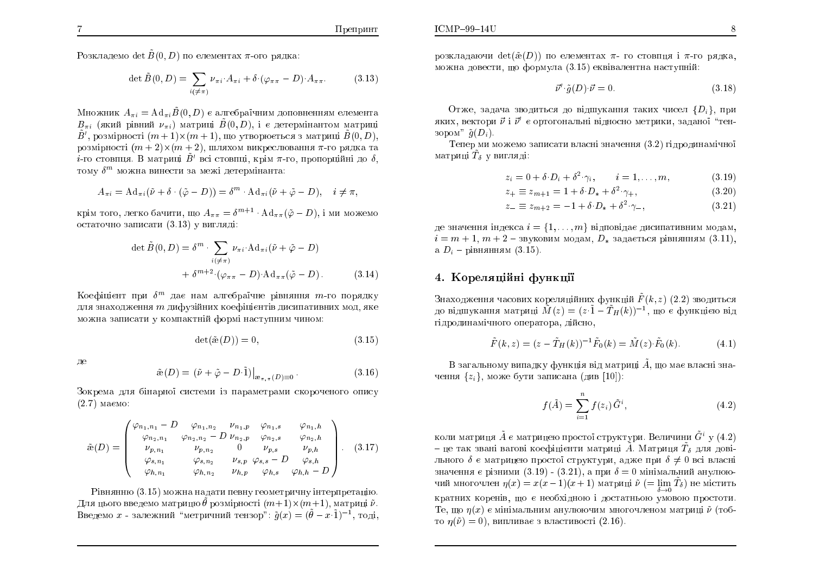Розкладемо det  $\tilde{B}(0, D)$  по елементах  $\pi$ -ого рядка:

$$
\det \tilde{B}(0, D) = \sum_{i(\neq \pi)} \nu_{\pi i} A_{\pi i} + \delta \cdot (\varphi_{\pi \pi} - D) A_{\pi \pi}.
$$
 (3.13)

Множник  $A_{\pi i} = \text{Ad}_{\pi i} \tilde{B}(0, D)$  є алгебраїчним доповненням елемента  $B_{\pi i}$  (який рівний  $\nu_{\pi i}$ ) матриці  $\tilde{B}(0,D)$ , і є детермінантом матриці  $\tilde{B}'$ , розмірності  $(m + 1) \times (m + 1)$ , що утворюється з матриці  $\tilde{B}(0, D)$ , розмірності  $(m + 2) \times (m + 2)$ , шляхом викреслювання  $\pi$ -го рядка та  $i$ -го стовпця. В матриці  $\tilde{B}'$  всі стовпці, крім  $\pi$ -го, пропорційні до  $\delta,$ тому  $\delta^m$  можна винести за межі детермінанта:

$$
A_{\pi i} = \mathrm{Ad}_{\pi i}(\tilde{\nu} + \delta \cdot (\tilde{\varphi} - D)) = \delta^m \cdot \mathrm{Ad}_{\pi i}(\tilde{\nu} + \tilde{\varphi} - D), \quad i \neq \pi,
$$

крім того, легко бачити, що  $A_{\pi\pi} = \delta^{m+1} \cdot \text{Ad}_{\pi\pi}(\tilde{\varphi} - D),$  і ми можемо остаточно записати  $(3.13)$  у вигляді:

$$
\det \tilde{B}(0, D) = \delta^m \cdot \sum_{i(\neq \pi)} \nu_{\pi i} \cdot \mathrm{Ad}_{\pi i} (\tilde{\nu} + \tilde{\varphi} - D)
$$

$$
+ \delta^{m+2} \cdot (\varphi_{\pi \pi} - D) \cdot \mathrm{Ad}_{\pi \pi} (\tilde{\varphi} - D). \tag{3.14}
$$

Коефіцієнт при  $\delta^m$  дає нам алгебраїчне рівняння  $m$ -го порядку ÄÌÑ ÚÎÁÈÏÄÖÅÎÎÑ <sup>m</sup> ÄÉÆÕÚÊÎÉÈ ËÏÅÆ¤ÎÔi× ÄÉÓÉÁÔÉ×ÎÉÈ ÍÏÄ, ÑËÅ можна записати у компактній формі наступним чином:<br>.

$$
\det(\tilde{\mathbf{\alpha}}(D)) = 0,\tag{3.15}
$$

де

$$
\tilde{\mathbf{a}}(D) = (\tilde{\nu} + \tilde{\varphi} - D \cdot \tilde{1})\big|_{\mathfrak{B}_{\pi,\pi}(D) \equiv 0}.
$$
\n(3.16)

Зокрема для бінарної системи із параметрами скороченого опису  $(2.7)$  маємо:

$$
\tilde{\mathbf{a}}(D) = \begin{pmatrix} \varphi_{n_1,n_1} - D & \varphi_{n_1,n_2} & \nu_{n_1,p} & \varphi_{n_1,s} & \varphi_{n_1,h} \\ \varphi_{n_2,n_1} & \varphi_{n_2,n_2} - D & \nu_{n_2,p} & \varphi_{n_2,s} & \varphi_{n_2,h} \\ \nu_{p,n_1} & \nu_{p,n_2} & 0 & \nu_{p,s} & \nu_{p,h} \\ \varphi_{s,n_1} & \varphi_{s,n_2} & \nu_{s,p} & \varphi_{s,s} - D & \varphi_{s,h} \\ \varphi_{h,n_1} & \varphi_{h,n_2} & \nu_{h,p} & \varphi_{h,s} & \varphi_{h,h} - D \end{pmatrix}.
$$
 (3.17)

Рівнянню  $(3.15)$  можна надати певну геометричну інтерпретацію. Для цього введемо матрицю  $\tilde{\theta}$  розмірності  $(m+1) \times (m+1),$  матриці  $\tilde{\nu}$ . Введемо  $x$  - залежний "метричний тензор":  $\tilde{g}(x) = (\tilde{\theta} - x \cdot \tilde{1})^{-1}$ , тоді, розкладаючи det $(\tilde {\rm \mathfrak{F}}(D))$  по елементах  $\pi$ - го стовпця і  $\pi$ -го рядка, можна довести, що формула  $\left( 3.15\right)$  еквівалентна наступній:

$$
\vec{\nu}' \cdot \tilde{g}(D) \cdot \vec{\nu} = 0. \tag{3.18}
$$

Отже, задача зводиться до відшукання таких чисел  $\{D_i\},$  при яких, вектори  $\vec{\nu}$  і  $\vec{\nu}'$  є ортогональні відносно метрики, заданої "тензором"  $\tilde{g}(D_i)$ .

Тепер ми можемо записати власні значення  $\left( 3.2\right)$  гідродинамічної матриці  $\tilde{T}_\delta$  у вигляді:

$$
z_i = 0 + \delta \cdot D_i + \delta^2 \cdot \gamma_i, \qquad i = 1, \dots, m,
$$
 (3.19)

$$
z_{+} \equiv z_{m+1} = 1 + \delta \cdot D_{*} + \delta^{2} \cdot \gamma_{+}, \qquad (3.20)
$$

$$
z_{-} \equiv z_{m+2} = -1 + \delta \cdot D_{*} + \delta^{2} \cdot \gamma_{-}, \qquad (3.21)
$$

де значення індекса  $i = \{1, \ldots, m\}$  відповідає дисипативним модам,  $i = m + 1, m + 2$  – звуковим модам,  $D_*$  задається рівнянням (3.11), а  $D_i$  – рівнянням  $(3.15)$ .

### 4. Кореляційні функції

Знаходження часових кореляційних функцій  $\tilde{F}(k,z)$  (2.2) зводиться до відшукання матриці  $\tilde{M}(z)=(z\,\tilde{1}-\tilde{T}_H(k))^{-1},$  що є функцією від гідродинамічного оператора, ді<mark>й</mark>сно,

$$
\tilde{F}(k, z) = (z - \tilde{T}_H(k))^{-1} \tilde{F}_0(k) = \tilde{M}(z) \cdot \tilde{F}_0(k).
$$
 (4.1)

В загальному випадку функція від матриці  $\tilde{A}$ , що має власні значення  $\{z_i\}$ , може бути записана (див  $[10]$ ):

$$
f(\tilde{A}) = \sum_{i=1}^{n} f(z_i) \, \tilde{G}^i,
$$
\n(4.2)

коли матриця  $\tilde{A}$  є матрицею простої структури. Величини  $\tilde{G}^i$  у  $(4.2)$ – це так звані вагові коефіцієнти матриці  $\tilde{A}$ . Матриця  $\tilde{T}_\delta$  для довільного  $\delta$  є матрицею простої структури, адже при  $\delta \neq 0$  всі власні $\delta \neq 0$ значення є різними  $(3.19)$  –  $(3.21)$ , а при  $\delta = 0$  мінімальний анулюючий многочлен  $\eta(x) = x(x-1)(x+1)$  матриці  $\tilde{\nu} \ (= \lim\limits_{\delta \to 0} \tilde{T}_{\delta})$  не містить кратних коренів, що є необхідною і достатньою умовою простоти.<br>Т Те, що  $\eta(x)$  є мінімальним анулюючим многочленом матриці  $\tilde{\nu}$  (тобто  $\eta(\tilde{\nu}) = 0$ ), випливає з властивості (2.16).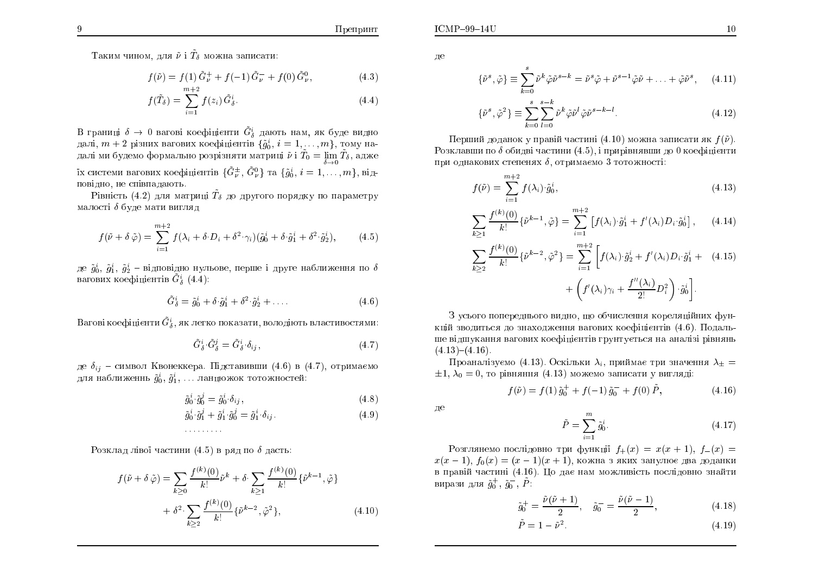Таким чином, для  $\tilde{\nu}$  і  $\tilde{T}_\delta$  можна записати:

$$
f(\tilde{\nu}) = f(1)\tilde{G}^+_{\nu} + f(-1)\tilde{G}^-_{\nu} + f(0)\tilde{G}^0_{\nu},
$$
\n(4.3)

$$
f(\tilde{T}_{\delta}) = \sum_{i=1}^{m+2} f(z_i) \tilde{G}_{\delta}^i.
$$
 (4.4)

В границі  $\delta \to 0$  вагові коефіцієнти  $\tilde{G}^i_\delta$  дають нам, як буде видно<br>далі — 1 різних вагових коефіцієнтів *Ґõ<sup>i</sup>, і* — 1 — 1 — 1 тому надалі,  $m+2$  різних вагових коефіцієнтів  $\{\tilde{g}^i_0, i =$ далі,  $m+2$  різних вагових коефіцієнтів  $\{\tilde{g}_0^i,\, i=1,\ldots,m\},\,$ тому на-далі ми будемо формально розрізняти матриці  $\tilde{\nu}$  і  $\tilde{T}_0=\lim\limits_{\delta\to 0}\tilde{T}_\delta,$  адже їх системи вагових коефіцієнтів  $\{\tilde{G}^{\pm}_{\nu},\,\tilde{G}^{0}_{\nu}\}$  та  $\{\tilde{g}^{i}_{0},\,i=1,\ldots,m\},$  відповідно, не співпадають.<br>''

Рівність  $(4.2)$  для матриці  $\tilde{T}_\delta$  до другого порядку по параметру малості  $\delta$  буде мати вигляд

$$
f(\tilde{\nu} + \delta \tilde{\varphi}) = \sum_{i=1}^{m+2} f(\lambda_i + \delta \cdot D_i + \delta^2 \cdot \gamma_i) (\tilde{g}_0^i + \delta \cdot \tilde{g}_1^i + \delta^2 \cdot \tilde{g}_2^i), \tag{4.5}
$$

де  $\tilde{g}^i_0,\ \tilde{g}^i_1,\ \tilde{g}^i_2$  – відповідно нульове, перше і друге наближення по  $\delta$ вагових коефіцієнтів  $\tilde{G}_{\delta}^{i}\,\left(4.4\right)$ :

$$
\tilde{G}_{\delta}^{i} = \tilde{g}_{0}^{i} + \delta \cdot \tilde{g}_{1}^{i} + \delta^{2} \cdot \tilde{g}_{2}^{i} + \dots
$$
\n(4.6)

Вагові коефіцієнти  $\tilde{G}_{\delta}^{i},$  як легко показати, володіють властивостями:

$$
\tilde{G}^i_{\delta} \cdot \tilde{G}^j_{\delta} = \tilde{G}^i_{\delta} \cdot \delta_{ij},\tag{4.7}
$$

де  $\delta_{ij}$  – символ Квонеккера. Підставивши (4.6) в (4.7), отримаємо для наближеннь  $\tilde{g}_0^i,\,\tilde{g}_1^i,\,\ldots$  ланцюжок тотожностей:

$$
\tilde{g}_0^i \cdot \tilde{g}_0^j = \tilde{g}_0^i \cdot \delta_{ij},\tag{4.8}
$$

$$
\tilde{g}_0^i \cdot \tilde{g}_1^j + \tilde{g}_1^i \cdot \tilde{g}_0^j = \tilde{g}_1^i \cdot \delta_{ij}.
$$
\n(4.9)

: : : : : : : : :

 $P$ озклад лівої частини  $(4.5)$  в ряд по  $\delta$  дасть:

$$
f(\tilde{\nu} + \delta \tilde{\varphi}) = \sum_{k \ge 0} \frac{f^{(k)}(0)}{k!} \tilde{\nu}^k + \delta \cdot \sum_{k \ge 1} \frac{f^{(k)}(0)}{k!} \{\tilde{\nu}^{k-1}, \tilde{\varphi}\} + \delta^2 \cdot \sum_{k \ge 2} \frac{f^{(k)}(0)}{k!} \{\tilde{\nu}^{k-2}, \tilde{\varphi}^2\},
$$
(4.10)

ле

$$
\{\tilde{\nu}^s, \tilde{\varphi}\} \equiv \sum_{k=0}^s \tilde{\nu}^k \tilde{\varphi} \tilde{\nu}^{s-k} = \tilde{\nu}^s \tilde{\varphi} + \tilde{\nu}^{s-1} \tilde{\varphi} \tilde{\nu} + \ldots + \tilde{\varphi} \tilde{\nu}^s, \quad (4.11)
$$

$$
\{\tilde{\nu}^s, \tilde{\varphi}^2\} \equiv \sum_{k=0}^s \sum_{l=0}^{s-k} \tilde{\nu}^k \tilde{\varphi} \tilde{\nu}^l \tilde{\varphi} \tilde{\nu}^{s-k-l}.
$$
\n(4.12)

Перший доданок у правій частині  $(4.10)$  можна записати як  $f(\tilde{\nu})$ . Розклавши по  $\delta$  обидві частини  $(4.5) ,$  і прирівнявши до  $0$  коефіцієнти при однакових степенях  $\delta,$  отримаємо  $3$  тотожності:

$$
f(\tilde{\nu}) = \sum_{i=1}^{m+2} f(\lambda_i) \cdot \tilde{g}_0^i,
$$
\n(4.13)

$$
\sum_{k\geq 1} \frac{f^{(k)}(0)}{k!} \{\tilde{\nu}^{k-1}, \tilde{\varphi}\} = \sum_{i=1}^{m+2} \left[ f(\lambda_i) \cdot \tilde{g}_1^i + f'(\lambda_i) D_i \cdot \tilde{g}_0^i \right], \qquad (4.14)
$$

$$
\sum_{k\geq 2} \frac{f^{(k)}(0)}{k!} \{\tilde{\nu}^{k-2}, \tilde{\varphi}^2\} = \sum_{i=1}^{m+2} \left[ f(\lambda_i) \cdot \tilde{g}_2^i + f'(\lambda_i) D_i \cdot \tilde{g}_1^i + (4.15) + \left( f'(\lambda_i) \gamma_i + \frac{f''(\lambda_i)}{2!} D_i^2 \right) \cdot \tilde{g}_0^i \right].
$$

3 усього попереднього видно, що обчислення кореляційних функцій зводиться до знаходження вагових коефіцієнтів  $(4.6)$ . Подальше відшукання вагових коефіцієнтів грунтується на аналізі рівнянь<br>.  $(4.13)-(4.16).$ 

Проаналізуємо (4.13). Оскільки  $\lambda_i$ , приймає три значення  $\lambda_{\pm} =$  $\pm 1, \lambda_0 = 0$ , то рівняння  $(4.13)$  можемо записати у вигляді:

$$
f(\tilde{\nu}) = f(1)\,\tilde{g}_0^+ + f(-1)\,\tilde{g}_0^- + f(0)\,\tilde{P},\tag{4.16}
$$

дe

$$
\tilde{P} = \sum_{i=1}^{m} \tilde{g}_0^i.
$$
\n(4.17)

Pозглянемо послідовно три функції  $f_+(x) = x(x + 1), f_-(x) =$  $x(x-1), f_0(x) = (x-1)(x+1),$  кожна з яких занулює два доданки в правій частині (4.16). Цо дає нам можливість послідовно знайти вирази для  $\tilde{g}^+_0, \, \tilde{g}^-_0, \, \tilde{P}$ :

$$
\tilde{g}_0^+ = \frac{\tilde{\nu}(\tilde{\nu} + 1)}{2}, \quad \tilde{g}_0^- = \frac{\tilde{\nu}(\tilde{\nu} - 1)}{2}, \tag{4.18}
$$

$$
\tilde{P} = 1 - \tilde{\nu}^2. \tag{4.19}
$$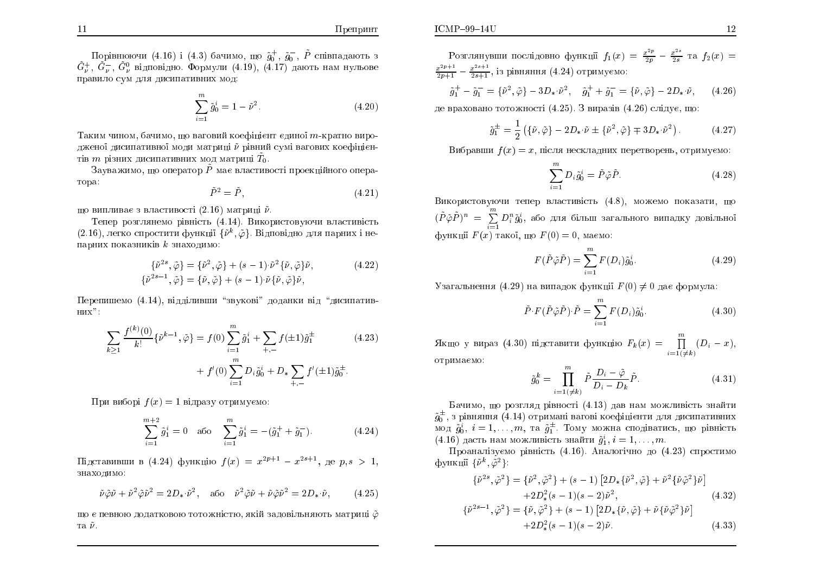$\Pi$ репринт

Порівнюючи (4.16) і (4.3) бачимо, що  $\tilde{g}_0^+$ ,  $\tilde{g}_0^-$ ,  $\tilde{P}$  співпадають з<br> $\tilde{G}^+_\nu$ ,  $\tilde{G}^-_\nu$ ,  $\tilde{G}^0_\nu$  відповідно. Формули (4.19), (4.17) дають нам нульове правило сум для дисипативних мод:

$$
\sum_{i=1}^{m} \tilde{g}_0^i = 1 - \tilde{\nu}^2.
$$
\n(4.20)

Таким чином, бачимо, що ваговий коефіцієнт єдиної *т*-кратно виродженої дисипативної моди матриці  $\tilde{\nu}$  рівний сумі вагових коефіцієнтів  $m$  різних дисипативних мод матриці  $\tilde{T}_0$ .

Зауважимо, що оператор  $\tilde{P}$  має властивості проекційного оператора:

$$
\tilde{P}^2 = \tilde{P},\tag{4.21}
$$

що випливає з властивості  $(2.16)$  матриці  $\tilde{\nu}.$ 

Тепер розглянемо рівність (4.14). Використовуючи властивість  $(2.16)$ , легко спростити функції  $\{\tilde{\nu}^k, \tilde{\varphi}\}$ . Відповідно для парних і непарних показників  $k$  знаходимо:

$$
\{\tilde{\nu}^{2s}, \tilde{\varphi}\} = \{\tilde{\nu}^2, \tilde{\varphi}\} + (s-1) \cdot \tilde{\nu}^2 \{\tilde{\nu}, \tilde{\varphi}\} \tilde{\nu},
$$
\n
$$
\{\tilde{\nu}^{2s-1}, \tilde{\varphi}\} = \{\tilde{\nu}, \tilde{\varphi}\} + (s-1) \cdot \tilde{\nu} \{\tilde{\nu}, \tilde{\varphi}\} \tilde{\nu},
$$
\n(4.22)

Перепишемо (4.14), відділивши "звукові" доданки від "дисипатив- $H$ ИХ":

$$
\sum_{k\geq 1} \frac{f^{(k)}(0)}{k!} \{\tilde{\nu}^{k-1}, \tilde{\varphi}\} = f(0) \sum_{i=1}^{m} \tilde{g}_{1}^{i} + \sum_{+,-} f(\pm 1) \tilde{g}_{1}^{\pm} \qquad (4.23)
$$

$$
+ f'(0) \sum_{i=1}^{m} D_{i} \tilde{g}_{0}^{i} + D_{*} \sum_{+,-} f'(\pm 1) \tilde{g}_{0}^{\pm}.
$$

 $\Pi$ ри виборі  $f(x) = 1$  відразу отримуємо:

$$
\sum_{i=1}^{m+2} \tilde{g}_1^i = 0 \quad \text{afo} \quad \sum_{i=1}^m \tilde{g}_1^i = -(\tilde{g}_1^+ + \tilde{g}_1^-). \tag{4.24}
$$

Підставивши в  $(4.24)$  функцію  $f(x) = x^{2p+1} - x^{2s+1}$ , де  $p, s > 1$ , знахолимо:

$$
\tilde{\nu}\tilde{\varphi}\tilde{\nu} + \tilde{\nu}^2\tilde{\varphi}\tilde{\nu}^2 = 2D_*\tilde{\nu}^2, \quad \text{afo} \quad \tilde{\nu}^2\tilde{\varphi}\tilde{\nu} + \tilde{\nu}\tilde{\varphi}\tilde{\nu}^2 = 2D_*\tilde{\nu}, \tag{4.25}
$$

що є певною додатковою тотожністю, якій задовільняють матриці  $\tilde{\varphi}$ та  $\tilde{\nu}.$ 

Розглянувши послідовно функції  $f_1(x) = \frac{x^{2p}}{2p} - \frac{x^{2s}}{2s}$  та  $f_2(x) =$  $\frac{x^{2p+1}}{2p+1} - \frac{x^{2s+1}}{2s+1}$ , із рівняння (4.24) отримуємо:

$$
\tilde{g}_1^+ - \tilde{g}_1^- = \{ \tilde{\nu}^2, \tilde{\varphi} \} - 3D_* \tilde{\nu}^2, \quad \tilde{g}_1^+ + \tilde{g}_1^- = \{ \tilde{\nu}, \tilde{\varphi} \} - 2D_* \tilde{\nu}, \qquad (4.26)
$$

де враховано тотожності  $(4.25)$ . З виразів  $(4.26)$  сліду $\epsilon$ , що:

$$
\tilde{g}_1^{\pm} = \frac{1}{2} \left( \{ \tilde{\nu}, \tilde{\varphi} \} - 2D_* \cdot \tilde{\nu} \pm \{ \tilde{\nu}^2, \tilde{\varphi} \} \mp 3D_* \cdot \tilde{\nu}^2 \right). \tag{4.27}
$$

Вибравши  $f(x) = x$ , після нескладних перетворень, отримуємо:

$$
\sum_{i=1}^{m} D_i \tilde{g}_0^i = \tilde{P} \tilde{\varphi} \tilde{P}.
$$
\n(4.28)

Використовуючи тепер властивість (4.8), можемо показати, що  $(\tilde{P}\tilde{\varphi}\tilde{P})^n~=~\sum\limits_{i=1}^m$ функції  $F(x)$  такої, що  $F(0) = 0$ , маємо:  $D_i^n\tilde{g}_{0}^i$ , або для більш загального випадку довільної

$$
F(\tilde{P}\tilde{\varphi}\tilde{P}) = \sum_{i=1}^{m} F(D_i)\tilde{g}_0^i.
$$
 (4.29)

Узагальнення  $(4.29)$  на випадок функції  $F(0) \neq 0$  дає формула:

$$
\tilde{P} \cdot F(\tilde{P}\tilde{\varphi}\tilde{P}) \cdot \tilde{P} = \sum_{i=1}^{m} F(D_i)\tilde{g}_0^i.
$$
\n(4.30)

Якщо у вираз (4.30) підставити функцію  $F_k(x) = \prod_{i=1}^m$  $i=1\,( \neq k)$  $(D_i-x),$ отримаємо:

$$
\tilde{g}_0^k = \prod_{i=1(\neq k)}^m \tilde{P} \frac{D_i - \tilde{\varphi}}{D_i - D_k} \tilde{P}.
$$
\n(4.31)

Бачимо, що розгляд рівності (4.13) дав нам можливість знайти  $\tilde{g}^{\pm}_0$ , з рівняння (4.14) отримані вагові коефіцієнти для дисипативних мод  $\tilde{g}^i_0, i = 1, \ldots, m$ , та  $\tilde{g}^{\pm}_1$ . Тому можна сподіватись, що рівність  $(4.16)$  дасть нам можливість знайти  $\tilde{g}_1^i, i = 1, \ldots, m$ .

Проаналізуємо рівність (4.16). Аналогічно до (4.23) спростимо функції  $\{\tilde{\nu}^k,\tilde{\varphi}^2\}$ :

$$
\{\tilde{\nu}^{2s}, \tilde{\varphi}^2\} = \{\tilde{\nu}^2, \tilde{\varphi}^2\} + (s-1) \left[2D_*\{\tilde{\nu}^2, \tilde{\varphi}\} + \tilde{\nu}^2\{\tilde{\nu}\tilde{\varphi}^2\}\tilde{\nu}\right] + 2D_*^2(s-1)(s-2)\tilde{\nu}^2,
$$
\n(4.32)

$$
\{\tilde{\nu}^{2s-1}, \tilde{\varphi}^2\} = \{\tilde{\nu}, \tilde{\varphi}^2\} + (s-1) \left[2D_*\{\tilde{\nu}, \tilde{\varphi}\} + \tilde{\nu}\{\tilde{\nu}\tilde{\varphi}^2\} \tilde{\nu}\right] + 2D_*^2(s-1)(s-2)\tilde{\nu}.
$$
 (4.33)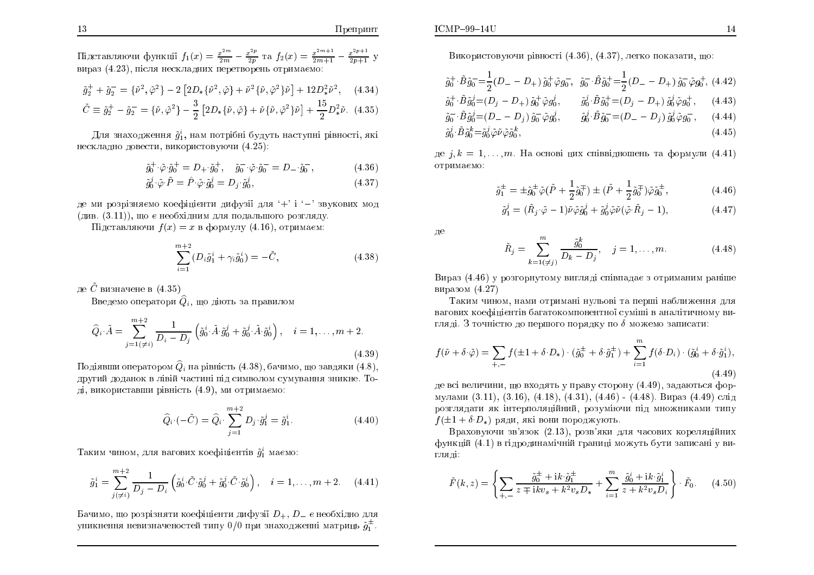$\Pi$ репринт

$$
\tilde{g}_2^+ + \tilde{g}_2^- = \{\tilde{\nu}^2, \tilde{\varphi}^2\} - 2 \left[2D_*\{\tilde{\nu}^2, \tilde{\varphi}\} + \tilde{\nu}^2\{\tilde{\nu}, \tilde{\varphi}^2\}\tilde{\nu}\right] + 12D_*^2\tilde{\nu}^2, \quad (4.34)
$$
  

$$
\tilde{C} \equiv \tilde{g}_2^+ - \tilde{g}_2^- = \{\tilde{\nu}, \tilde{\varphi}^2\} - \frac{3}{2} \left[2D_*\{\tilde{\nu}, \tilde{\varphi}\} + \tilde{\nu}\{\tilde{\nu}, \tilde{\varphi}^2\}\tilde{\nu}\right] + \frac{15}{2}D_*^2\tilde{\nu}. \quad (4.35)
$$

Для знаходження  $\tilde{g}_1^i$ , нам потрібні будуть наступні рівності, які нескладно довести, використовуючи  $(4.25)$ :

$$
\tilde{g}_0^+ \cdot \tilde{\varphi} \cdot \tilde{g}_0^+ = D_+ \cdot \tilde{g}_0^+ , \quad \tilde{g}_0^- \cdot \tilde{\varphi} \cdot \tilde{g}_0^- = D_- \cdot \tilde{g}_0^- , \tag{4.36}
$$

$$
\tilde{g}_0^j \cdot \tilde{\varphi} \cdot \tilde{P} = \hat{P} \cdot \tilde{\varphi} \cdot \tilde{g}_0^j = D_j \cdot \tilde{g}_0^j, \tag{4.37}
$$

де ми розрізняємо коефіцієнти дифузії для '+' і '–' звукових мод (див. (3.11)), що є необхідним для подальшого розгляду.<br>Пі

 $\Pi$ ідставляючи  $f(x) = x$  в формулу  $(4.16)$ , отримаєм:

$$
\sum_{i=1}^{m+2} (D_i \tilde{g}_1^i + \gamma_i \tilde{g}_0^i) = -\tilde{C},
$$
\n(4.38)

де  $\tilde{C}$  визначене в  $(4.35)$ 

Введемо оператори  $\widehat{Q}_i,$  що діють за правилом

$$
\hat{Q}_{i} \cdot \tilde{A} = \sum_{j=1(\neq i)}^{m+2} \frac{1}{D_{i} - D_{j}} \left( \tilde{g}_{0}^{i} \tilde{A} \cdot \tilde{g}_{0}^{j} + \tilde{g}_{0}^{j} \cdot \tilde{A} \cdot \tilde{g}_{0}^{i} \right), \quad i = 1, \dots, m+2.
$$
\n(4.39)

Подіявши оператором  $\widehat{Q}_i$  на рівність  $(4.38)$ , бачимо, що завдяки  $(4.8)$ , другий доданок в лівій частині під символом сумування зникне. Тоді, використавши рівність  $(4.9)$ , ми отримаємо:

$$
\hat{Q}_i \cdot (-\tilde{C}) = \hat{Q}_i \cdot \sum_{j=1}^{m+2} D_j \cdot \tilde{g}_1^j = \tilde{g}_1^i.
$$
 (4.40)

Таким чином, для вагових коефіцієнтів  $\tilde{g}_1^i$  маємо:

$$
\tilde{g}_1^i = \sum_{j(\neq i)}^{m+2} \frac{1}{D_j - D_i} \left( \tilde{g}_0^i \cdot \tilde{C} \cdot \tilde{g}_0^j + \tilde{g}_0^j \cdot \tilde{C} \cdot \tilde{g}_0^i \right), \quad i = 1, \dots, m+2. \tag{4.41}
$$

Бачимо, що розрізняти коефіцієнти дифузії  $D_+,\,D_-$  є необхідно для $^{\star+}_{\phantom{\star}+\phantom{\star}}$ уникнення невизначеностей типу  $0/0$  при знаходженні матриць  $\tilde{g}^{\pm}_1$ .

Використовуючи рівності (4.36), (4.37), легко показати, що:

$$
\tilde{g}_0^+ \cdot \tilde{B} \tilde{g}_0^- = \frac{1}{2} (D_- - D_+) \tilde{g}_0^+ \tilde{\varphi} g_0^- , \quad \tilde{g}_0^- \cdot \tilde{B} \tilde{g}_0^+ = \frac{1}{2} (D_- - D_+) \tilde{g}_0^- \tilde{\varphi} g_0^+, \quad (4.42)
$$
\n
$$
\tilde{g}_0^+ \cdot \tilde{B} \tilde{g}_0^j = (D_j - D_+) \tilde{g}_0^+ \tilde{\varphi} g_0^j , \qquad \tilde{g}_0^j \cdot \tilde{B} \tilde{g}_0^+ = (D_j - D_+) \tilde{g}_0^j \tilde{\varphi} g_0^+, \quad (4.43)
$$
\n
$$
\tilde{g}_0^- \cdot \tilde{B} \tilde{g}_0^j = (D_- - D_j) \tilde{g}_0^- \tilde{\varphi} g_0^j , \qquad \tilde{g}_0^j \cdot \tilde{B} \tilde{g}_0^- = (D_- - D_j) \tilde{g}_0^j \tilde{\varphi} g_0^-, \quad (4.44)
$$
\n
$$
\tilde{g}_0^j \cdot \tilde{B} \tilde{g}_0^k = \tilde{g}_0^j \tilde{\varphi} \tilde{\varphi} \tilde{\varphi} \tilde{g}_0^k , \qquad \tilde{g}_0^j \cdot \tilde{B} \tilde{g}_0^- = (D_- - D_j) \tilde{g}_0^j \tilde{\varphi} g_0^-, \quad (4.44)
$$

де  $j, k = 1, \ldots, m$ . На основі цих співвідношень та формули  $(4.41)$ отримаємо:

$$
\tilde{g}_1^{\pm} = \pm \tilde{g}_0^{\pm} \tilde{\varphi} (\tilde{P} + \frac{1}{2} \tilde{g}_0^{\mp}) \pm (\tilde{P} + \frac{1}{2} \tilde{g}_0^{\mp}) \tilde{\varphi} \tilde{g}_0^{\pm}, \qquad (4.46)
$$

$$
\tilde{g}_1^j = (\tilde{R}_j \cdot \tilde{\varphi} - 1)\tilde{\nu}\tilde{\varphi}\tilde{g}_0^j + \tilde{g}_0^j\tilde{\varphi}\tilde{\nu}(\tilde{\varphi}\cdot\tilde{R}_j - 1),\tag{4.47}
$$

ле

$$
\tilde{R}_j = \sum_{k=1(\neq j)}^m \frac{\tilde{g}_0^k}{D_k - D_j}, \quad j = 1, \dots, m.
$$
 (4.48)

÷ÉÒÁÚ (4.46) Õ ÒÏÚÇÏÒÎÕÔÏÍÕ ×ÉÇÌÑÄ Ó×ÁÄÁ¤ <sup>Ú</sup> ÏÔÒÉÍÁÎÉÍ ÒÁÎÛÅ виразом (4.27)<br>—

Таким чином, нами отримані нульові та перші наближення для вагових коефіцієнтів багатокомпонентної суміші в аналітичному вигляді. З точністю до першого порядку по  $\delta$  можемо записати:

$$
f(\tilde{\nu} + \delta \cdot \tilde{\varphi}) = \sum_{+,-} f(\pm 1 + \delta \cdot D_*) \cdot (\tilde{g}_0^{\pm} + \delta \cdot \tilde{g}_1^{\pm}) + \sum_{i=1}^m f(\delta \cdot D_i) \cdot (\tilde{g}_0^i + \delta \cdot \tilde{g}_1^i),
$$
\n(4.49)

де всі величини, що входять у праву сторону (4.49), задаються формулами (3.11), (3.16), (4.18), (4.31), (4.46) - (4.48). Вираз (4.49) слід розглядати як інтерполяційний, розуміючи під множниками типу<br>———————————————————  $f(\pm 1 + \delta \cdot D_*)$  ряди, які вони породжують.

Враховуючи зв'язок (2.13), розв'яки для часових кореляційних функцій (4.1) в гідродинамічній границі можуть бути записані у ви<mark>-</mark> гляді:

$$
\tilde{F}(k,z) = \left\{ \sum_{+,-} \frac{\tilde{g}_0^{\pm} + ik \cdot \tilde{g}_1^{\pm}}{z \mp ik v_s + k^2 v_s D_*} + \sum_{i=1}^m \frac{\tilde{g}_0^i + ik \cdot \tilde{g}_1^i}{z + k^2 v_s D_i} \right\} \cdot \tilde{F}_0. \tag{4.50}
$$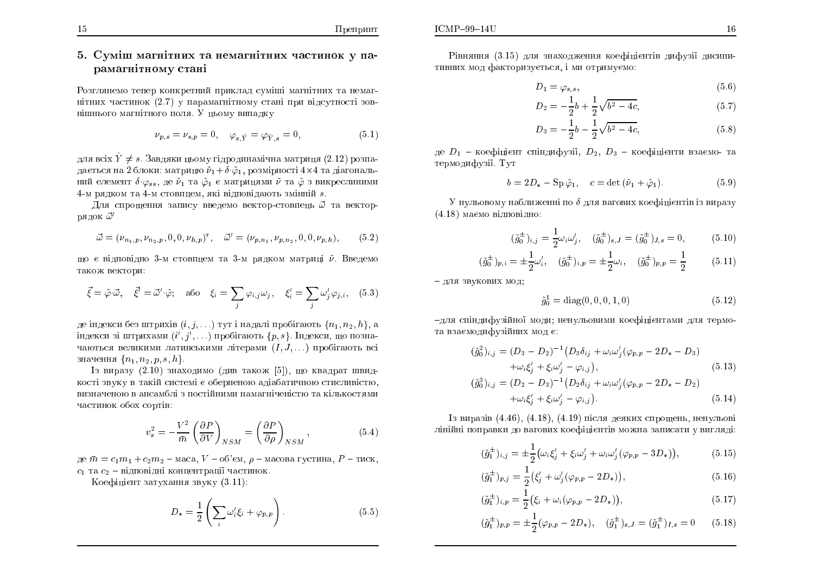## 5. Суміш магнітних та немагнітних частинок у па-<br>рамарнітному стані рамагнітному ст<mark>ані</mark>

Розглянемо тепер конкретний приклад суміші магнітних та немагнітних частинок (2.7) у парамагнітному стані при відсутності зовнішнього магнітного поля. У цьому випадку<br>

$$
\nu_{p,s} = \nu_{s,p} = 0, \quad \varphi_{s,\hat{Y}} = \varphi_{\hat{Y},s} = 0,
$$
\n(5.1)

для всіх  $\hat{Y} \neq s$ . Завдяки цьому гідродинамічна матриця (2.12) розпадається на 2 блоки: матрицю  $\widetilde{\nu}_1 + \delta \cdotp \widetilde{\varphi}_1,$  розмірності 4 $\times$ 4 та діагональний елемент  $\delta \cdot \varphi_{ss},$  де  $\tilde \nu_1$  та  $\tilde \varphi_1$  є матрицями  $\tilde \nu$  та  $\tilde \varphi$  з викреслиними 4-Í ÒÑÄËÏÍ ÔÁ 4- Í ÓÔÏ×ÅÍ, ÑËi ×iÄÏ×iÄÁÀÔØ ÚÍiÎÎiÊ s.

Для спрощення запису введемо вектор-стовпець  $\vec{\omega}$  та векторрядок  $\vec{\omega}'$ 

$$
\vec{\omega} = (\nu_{n_1,p}, \nu_{n_2,p}, 0, 0, \nu_{h,p})^{\mathrm{T}}, \quad \vec{\omega}' = (\nu_{p,n_1}, \nu_{p,n_2}, 0, 0, \nu_{p,h}), \tag{5.2}
$$

що є відповідно 3-м стовпцем та 3-м рядком матриці  $\tilde{\nu}$ . Введемо також вектори:<br>`

$$
\vec{\xi} = \tilde{\varphi} \cdot \vec{\omega}, \quad \vec{\xi}' = \vec{\omega}' \cdot \tilde{\varphi}; \quad \text{afo} \quad \xi_i = \sum_j \varphi_{i,j} \omega_j, \quad \xi'_i = \sum_j \omega'_j \varphi_{j,i}, \quad (5.3)
$$

де індекси без штрихів  $(i, j, \ldots)$  тут і надалі пробігають  $\{n_1, n_2, h\},$  а індекси зі штрихами  $(i',j',\ldots)$  пробігають  $\{p,s\}$ . Індекси, що позначаються великими латинськими літерами  $(I, J, \ldots)$  пробігають всі значення  $\{n_1, n_2, p, s, h\}.$ 

Iз виразу (2.10) знаходимо (див також [5]), що квадрат швид-<br>- сочин в толій системі з оборночою одіобогичною отношністю кості звуку в такій системі є оберненою адіабатичною стисливістю,<br>С визначеною в ансамблі з постійними намагніченістю та кількостями<br>С частинок обох сортів:

$$
v_s^2 = -\frac{V^2}{\bar{m}} \left(\frac{\partial P}{\partial V}\right)_{NSM} = \left(\frac{\partial P}{\partial \rho}\right)_{NSM},\tag{5.4}
$$

де  $\bar{m} = c_1 m_1 + c_2 m_2$  – маса,  $V$  – об'єм,  $\rho$  – масова густина,  $P$  – тиск,  $c_1$  та  $c_2$  – відповідні концентрації частинок.

 $\rm K$ оефіцієнт затухання звуку  $(3.11)$ :

$$
D_* = \frac{1}{2} \left( \sum_i \omega'_i \xi_i + \varphi_{p,p} \right). \tag{5.5}
$$

$$
D_1 = \varphi_{s,s},\tag{5.6}
$$

$$
D_2 = -\frac{1}{2}b + \frac{1}{2}\sqrt{b^2 - 4c},\tag{5.7}
$$

$$
D_3 = -\frac{1}{2}b - \frac{1}{2}\sqrt{b^2 - 4c},\tag{5.8}
$$

де  $D_1$  – коефіцієнт спіндифузії,  $D_2,~D_3$  – коефіцієнти взаємо- та термодифузії. Тут

$$
b = 2D_* - Sp\tilde{\varphi}_1, \quad c = \det(\tilde{\nu}_1 + \tilde{\varphi}_1). \tag{5.9}
$$

 ${\rm V}$  нульовому наближенні по  $\delta$  для вагових коефіцієнтів із виразу  $(4.18)$  маємо відповідно:

$$
(\tilde{g}_0^{\pm})_{i,j} = \frac{1}{2}\omega_i\omega'_j, \quad (\tilde{g}_0^{\pm})_{s,J} = (\tilde{g}_0^{\pm})_{J,s} = 0,
$$
 (5.10)

$$
(\tilde{g}_0^{\pm})_{p,i} = \pm \frac{1}{2} \omega_i', \quad (\tilde{g}_0^{\pm})_{i,p} = \pm \frac{1}{2} \omega_i, \quad (\tilde{g}_0^{\pm})_{p,p} = \frac{1}{2}
$$
 (5.11)

– для звукових мод;

$$
\tilde{g}_0^1 = \text{diag}(0, 0, 0, 1, 0) \tag{5.12}
$$

-для спіндифузійної моди; ненульовими коефіцієнтами для термота взаємодифузійних мод є:

$$
(\tilde{g}_0^2)_{i,j} = (D_3 - D_2)^{-1} (D_3 \delta_{ij} + \omega_i \omega'_j (\varphi_{p,p} - 2D_* - D_3) + \omega_i \xi'_j + \xi_i \omega'_j - \varphi_{i,j}),
$$
\n
$$
(\tilde{g}_0^3)_{i,j} = (D_2 - D_3)^{-1} (D_2 \delta_{ij} + \omega_i \omega'_j (\varphi_{p,p} - 2D_* - D_2))
$$
\n(5.13)

$$
(\tilde{g}_0^3)_{i,j} = (D_2 - D_3)^{-1} (D_2 \delta_{ij} + \omega_i \omega'_j (\varphi_{p,p} - 2D_* - D_2) + \omega_i \xi'_j + \xi_i \omega'_j - \varphi_{i,j}).
$$
\n(5.14)

Iз виразів  $(4.46)$ ,  $(4.18)$ ,  $(4.19)$  після деяких спрощень, ненульові лінійні поправки до вагових коефіцієнтів можна записати у вигляді:

$$
(\tilde{g}_1^{\pm})_{i,j} = \pm \frac{1}{2} \big( \omega_i \xi'_j + \xi_i \omega'_j + \omega_i \omega'_j (\varphi_{p,p} - 3D_*) \big), \tag{5.15}
$$

$$
(\tilde{g}_1^{\pm})_{p,j} = \frac{1}{2} \left( \xi_j' + \omega_j' (\varphi_{p,p} - 2D_*) \right), \tag{5.16}
$$

$$
(\tilde{g}_1^{\pm})_{i,p} = \frac{1}{2} (\xi_i + \omega_i (\varphi_{p,p} - 2D_*) ), \qquad (5.17)
$$

$$
(\tilde{g}_1^{\pm})_{p,p} = \pm \frac{1}{2} (\varphi_{p,p} - 2D_*) , \quad (\tilde{g}_1^{\pm})_{s,J} = (\tilde{g}_1^{\pm})_{I,s} = 0 \quad (5.18)
$$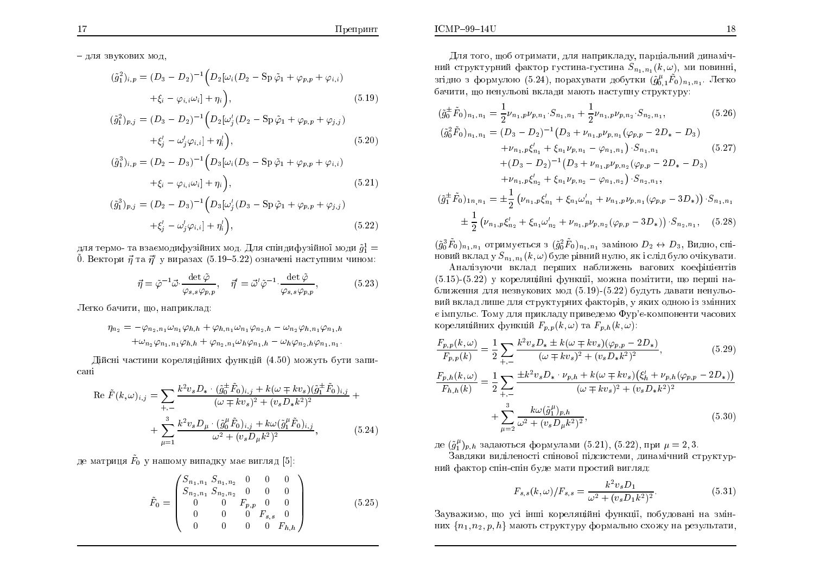- для звукових мод.

$$
(\tilde{g}_1^2)_{i,p} = (D_3 - D_2)^{-1} \left( D_2[\omega_i(D_2 - \text{Sp}\,\tilde{\varphi}_1 + \varphi_{p,p} + \varphi_{i,i}) + \xi_i - \varphi_{i,i}\omega_i] + \eta_i \right),
$$
\n(5.19)

$$
\tilde{g}_1^2)_{p,j} = (D_3 - D_2)^{-1} \left( D_2[\omega_j'(D_2 - \text{Sp}\,\tilde{\varphi}_1 + \varphi_{p,p} + \varphi_{j,j}) + \xi_j' - \omega_j' \varphi_{i,i}] + \eta_i' \right), \tag{5.20}
$$

$$
(\tilde{g}_1^3)_{i,p} = (D_2 - D_3)^{-1} \Big( D_3[\omega_i(D_3 - \text{Sp}\,\tilde{\varphi}_1 + \varphi_{p,p} + \varphi_{i,i}) + \xi_i - \varphi_{i,i}\omega_i] + \eta_i \Big), \tag{5.21}
$$

$$
(\tilde{g}_1^3)_{p,j} = (D_2 - D_3)^{-1} \left( D_3[\omega_j'(D_3 - \text{Sp}\,\tilde{\varphi}_1 + \varphi_{p,p} + \varphi_{j,j}) + \xi_j' - \omega_j' \varphi_{i,i} \right) + \eta_i' \right),
$$
\n(5.22)

для термо- та взаємодифузійних мод. Для спіндифузійної моди  $\tilde{g}_1^1 =$ 0. Вектори  $\vec{\eta}$  та  $\vec{\eta}'$  у виразах (5.19–5.22) означені наступним чином:

$$
\vec{\eta} = \tilde{\varphi}^{-1} \vec{\omega} \cdot \frac{\det \tilde{\varphi}}{\varphi_{s,s} \varphi_{p,p}}, \quad \vec{\eta}' = \vec{\omega}' \tilde{\varphi}^{-1} \cdot \frac{\det \tilde{\varphi}}{\varphi_{s,s} \varphi_{p,p}}, \tag{5.23}
$$

Легко бачити, що, наприклад:

$$
\eta_{n_2} = -\varphi_{n_2, n_1} \omega_{n_1} \varphi_{h,h} + \varphi_{h,n_1} \omega_{n_1} \varphi_{n_2,h} - \omega_{n_2} \varphi_{h,n_1} \varphi_{n_1,h} \n+ \omega_{n_2} \varphi_{n_1, n_1} \varphi_{h,h} + \varphi_{n_2, n_1} \omega_h \varphi_{n_1,h} - \omega_h \varphi_{n_2,h} \varphi_{n_1,n_1}.
$$

Дійсні частини кореляційних функцій (4.50) можуть бути записані

$$
\operatorname{Re}\tilde{F}(k,\omega)_{i,j} = \sum_{+,-} \frac{k^2 v_s D_* \cdot (\tilde{g}_0^{\pm} \tilde{F}_0)_{i,j} + k(\omega \mp k v_s)(\tilde{g}_1^{\pm} \tilde{F}_0)_{i,j}}{(\omega \mp k v_s)^2 + (v_s D_* k^2)^2} + \sum_{\mu=1}^3 \frac{k^2 v_s D_\mu \cdot (\tilde{g}_0^{\mu} \tilde{F}_0)_{i,j} + k\omega(\tilde{g}_1^{\mu} \tilde{F}_0)_{i,j}}{\omega^2 + (v_s D_\mu k^2)^2},
$$
(5.24)

де матриця  $\tilde{F}_0$  у нашому випадку має вигляд [5]:

$$
\tilde{F}_0 = \begin{pmatrix}\nS_{n_1, n_1} S_{n_1, n_2} & 0 & 0 & 0 \\
S_{n_2, n_1} S_{n_2, n_2} & 0 & 0 & 0 \\
0 & 0 & F_{p, p} & 0 & 0 \\
0 & 0 & 0 & F_{s, s} & 0 \\
0 & 0 & 0 & 0 & F_{h, h}\n\end{pmatrix}
$$
\n(5.25)

Для того, щоб отримати, для наприкладу, парціальний динамічний структурний фактор густина-густина  $S_{n_1,n_1}(k,\omega)$ , ми повинні, згідно з формулою (5.24), порахувати добутки  $(\tilde{g}_{0}^{\mu}, \tilde{F}_{0})_{n_{1},n_{1}}$ . Легко бачити, що ненульові вклади мають наступну структуру:

$$
(\tilde{g}_{0}^{\pm}\tilde{F}_{0})_{n_{1},n_{1}} = \frac{1}{2}\nu_{n_{1},p}\nu_{p,n_{1}}\cdot S_{n_{1},n_{1}} + \frac{1}{2}\nu_{n_{1},p}\nu_{p,n_{2}}\cdot S_{n_{2},n_{1}},
$$
\n
$$
(\tilde{g}_{0}^{2}\tilde{F}_{0})_{n_{1},n_{1}} = (D_{3} - D_{2})^{-1}(D_{3} + \nu_{n_{1},p}\nu_{p,n_{1}}(\varphi_{p,p} - 2D_{*} - D_{3})
$$
\n
$$
+ \nu_{n_{1},p}\xi'_{n_{1}} + \xi_{n_{1}}\nu_{p,n_{1}} - \varphi_{n_{1},n_{1}}\cdot S_{n_{1},n_{1}}
$$
\n
$$
+ (D_{3} - D_{2})^{-1}(D_{3} + \nu_{n_{1},p}\nu_{p,n_{2}}(\varphi_{p,p} - 2D_{*} - D_{3})
$$
\n
$$
+ \nu_{n_{1},p}\xi'_{n_{2}} + \xi_{n_{1}}\nu_{p,n_{2}} - \varphi_{n_{1},n_{2}}\cdot S_{n_{2},n_{1}},
$$
\n
$$
(\tilde{g}_{1}^{\pm}\tilde{F}_{0})_{1n_{1},n_{1}} = \pm \frac{1}{2}\left(\nu_{n_{1},p}\xi'_{n_{1}} + \xi_{n_{1}}\omega'_{n_{1}} + \nu_{n_{1},p}\nu_{p,n_{1}}(\varphi_{p,p} - 3D_{*})\right)\cdot S_{n_{1},n_{1}}
$$
\n
$$
\pm \frac{1}{2}\left(\nu_{n_{1},p}\xi'_{n_{2}} + \xi_{n_{1}}\omega'_{n_{2}} + \nu_{n_{1},p}\nu_{p,n_{2}}(\varphi_{p,p} - 3D_{*})\right)\cdot S_{n_{2},n_{1}}, \quad (5.28)
$$

 $(\tilde{g}_0^3 \tilde{F}_0)_{n_1, n_1}$  отримується з  $(\tilde{g}_0^2 \tilde{F}_0)_{n_1, n_1}$  заміною  $D_2 \leftrightarrow D_3$ , Видно, спіновий вклад у  $S_{n_1,n_1}(k,\omega)$  буде рівний нулю, як і слід було очікувати.

Аналізуючи вклад перших наближень вагових коефіцієнтів  $(5.15)$ - $(5.22)$  у кореляційні функції, можна помітити, що перші наближення для незвукових мод (5.19)-(5.22) будуть давати ненульовий вклад лише для структурних факторів, у яких одною із змінних є імпульс. Тому для прикладу приведемо Фур'є-компоненти часових кореляційних функцій  $F_{p,p}(k,\omega)$  та  $F_{p,h}(k,\omega)$ :

$$
\frac{F_{p,p}(k,\omega)}{F_{p,p}(k)} = \frac{1}{2} \sum_{+,-} \frac{k^2 v_s D_* \pm k(\omega \mp kv_s)(\varphi_{p,p} - 2D_*)}{(\omega \mp kv_s)^2 + (v_s D_* k^2)^2},\tag{5.29}
$$

$$
\frac{F_{p,h}(k,\omega)}{F_{h,h}(k)} = \frac{1}{2} \sum_{+,-} \frac{\pm k^2 v_s D_* \cdot \nu_{p,h} + k(\omega \mp k v_s) (\xi_h' + \nu_{p,h} (\varphi_{p,p} - 2D_*))}{(\omega \mp k v_s)^2 + (v_s D_* k^2)^2} + \sum_{u=2}^3 \frac{k \omega (\tilde{g}_1^{\mu})_{p,h}}{\omega^2 + (v_s D_\mu k^2)^2},
$$
\n(5.30)

де  $(\tilde{g}_1^{\mu})_{p,h}$  задаються формулами (5.21), (5.22), при  $\mu = 2,3$ .

Завдяки виділеності спінової підсистеми, динамічний структурний фактор спін-спін буде мати простий вигляд:

$$
F_{s,s}(k,\omega)/F_{s,s} = \frac{k^2 v_s D_1}{\omega^2 + (v_s D_1 k^2)^2}.
$$
\n(5.31)

Зауважимо, що усі інші кореляційні функції, побудовані на змінних  $\{n_1, n_2, p, h\}$  мають структуру формально схожу на результати,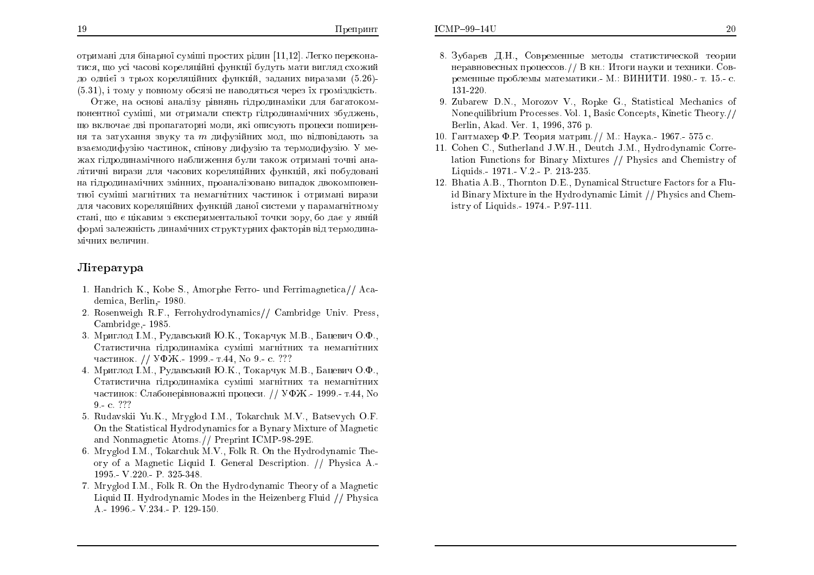Отже, на основі аналізу рівнянь гідродинаміки для багатокомпонентної суміші, ми отримали спектр гідродинамічних збуджень, що включає дві пропагаторні моди, які описують процеси поширення та затухання звуку та  $m$  дифузійних мод, що відповідають за взаємодифузію частинок, спінову дифузію та термодифузію. У ме-ÖÁÈ ÇiÄÒÏÄÉÎÁÍiÞÎÏÇÏ ÎÁÂÌÉÖÅÎÎÑ ÂÕÌÉ ÔÁËÏÖ ÏÔÒÉÍÁÎi ÔÏÞÎi ÁÎÁлітичні вирази для часових кореляційних функцій, які побудовані на гідродинамічних змінних, проаналізовано випадок двокомпонен<del>-</del> тної суміші магнітних та немагнітних частинок і отримані вирази для часових кореляційних функцій даної системи у парамагнітному стані, що є цікавим з експериментальної точки зору, бо дає у явній<br>. формі залежність динамічних структурних факторів від термодина<mark>-</mark> мічних величин<mark>.</mark>

### Jireparypa

- 1. Handri
h K., Kobe S., Amorphe Ferro- und Ferrimagneti
a// A
ademi
a, Berlin,- 1980.
- 2. Rosenweigh R.F., Ferrohydrodynami
s// Cambridge Univ. Press, Cambridge,- 1985.
- 3. Мриглод I.M., Рудавський Ю.К., Токарчук М.В., Бацевич О.Ф., Статистична гідродинаміка суміші магнітних та немагнітних частинок. // УФЖ.- 1999.- т.44, No 9.- с. ???
- 4. Мриглод І.М., Рудавський Ю.К., Токарчук М.В., Бацевич О.Ф., Статистична гідродинаміка суміші магнітних та немагнітних частинок: Слабонерівноважні процеси. // УФЖ.- 1999.- т.44, No 9 - c. ???
- 5. Rudavskii Yu.K., Mryglod I.M., Tokar
huk M.V., Batsevy
h O.F. On the Statisti
al Hydrodynami
s for <sup>a</sup> Bynary Mixture of Magneti and Nonmagneti Atoms.// Preprint ICMP-98-29E.
- 6. Mryglod I.M., Tokar
huk M.V., Folk R. On the Hydrodynami Theory of <sup>a</sup> Magneti Liquid I. General Des
ription. // Physi
a A.- 1995.- V.220.- P. 325-348.
- 7. Mryglod I.M., Folk R. On the Hydrodynami Theory of <sup>a</sup> Magneti Liquid II. Hydrodynamic Modes in the Heizenberg Fluid // Physica A.- 1996.- V.234.- P. 129-150.
- 8. Зубарєв Д.Н., Современные методы статистической теории<br>Соборет неравновесных процессов.// В кн.: Итоги науки и техники. Современные проблемы математики.- М.: ВИНИТИ. 1980.- т. 15.- с.<br>191.990 131-220.
- 9. Zubarew D.N., Morozov V., Ropke G., Statistical Mechanics of Nonequilibrium Pro
esses. Vol. 1, Basi Con
epts, Kineti Theory.// Berlin, Akad. Ver. 1, 1996, 376 p.
- 10. Гантмахер Ф.Р. Теория матриц.// М.: Наука.- 1967.- 575 с.<br>...
- 11. Cohen C., Sutherland J.W.H., Deut
h J.M., Hydrodynami Correlation Fun
tions for Binary Mixtures // Physi
s and Chemistry of Liquids.- 1971.- V.2.- P. 213-235.
- 12. Bhatia A.B., Thornton D.E., Dynamical Structure Factors for a Fluid Binary Mixture in the Hydrodynami Limit // Physi
s and Chemistry of Liquids.- 1974.- P.97-111.